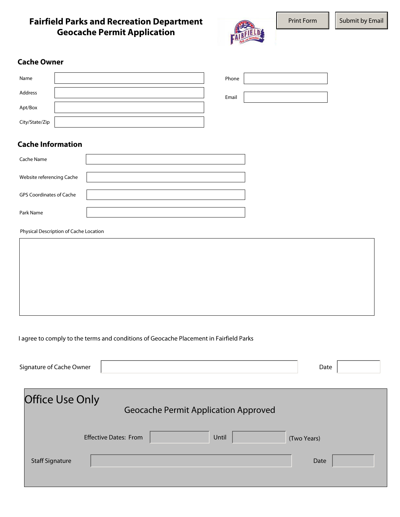# **Fairfield Parks and Recreation Department Geocache Permit Application**



## **Cache Owner**

| Name           | Phone |  |
|----------------|-------|--|
| Address        | Email |  |
| Apt/Box        |       |  |
| City/State/Zip |       |  |

# **Cache Information**

| Cache Name                      |  |
|---------------------------------|--|
| Website referencing Cache       |  |
| <b>GPS Coordinates of Cache</b> |  |
| Park Name                       |  |

Physical Description of Cache Location

#### I agree to comply to the terms and conditions of Geocache Placement in Fairfield Parks

| Signature of Cache Owner |                              |                                             |       | Date        |  |
|--------------------------|------------------------------|---------------------------------------------|-------|-------------|--|
| <b>Office Use Only</b>   |                              | <b>Geocache Permit Application Approved</b> |       |             |  |
|                          | <b>Effective Dates: From</b> |                                             | Until | (Two Years) |  |
| <b>Staff Signature</b>   |                              |                                             |       | Date        |  |